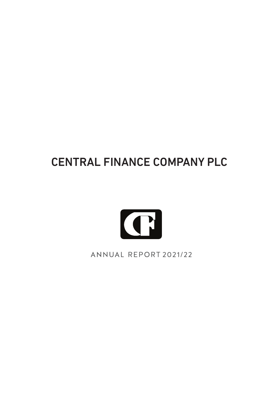# CENTRAL FINANCE COMPANY PLC



ANNUAL REPORT 2021/22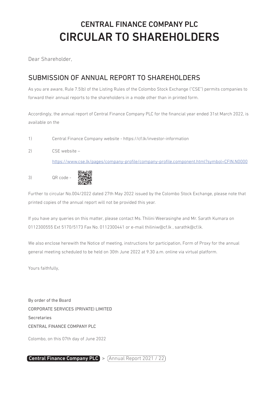### CENTRAL FINANCE COMPANY PLC CIRCULAR TO SHAREHOLDERS

Dear Shareholder,

### SUBMISSION OF ANNUAL REPORT TO SHAREHOLDERS

As you are aware, Rule 7.5(b) of the Listing Rules of the Colombo Stock Exchange ("CSE") permits companies to forward their annual reports to the shareholders in a mode other than in printed form.

Accordingly, the annual report of Central Finance Company PLC for the financial year ended 31st March 2022, is available on the

- 1) Central Finance Company website https://cf.lk/investor-information
- 2) CSE website –

https://www.cse.lk/pages/company-profile/company-profile.component.html?symbol=CFIN.N0000

3) QR code -



Further to circular No.004/2022 dated 27th May 2022 issued by the Colombo Stock Exchange, please note that printed copies of the annual report will not be provided this year.

If you have any queries on this matter, please contact Ms. Thilini Weerasinghe and Mr. Sarath Kumara on 0112300555 Ext 5170/5173 Fax No. 0112300441 or e-mail thiliniw@cf.lk , sarathk@cf.lk.

We also enclose herewith the Notice of meeting, instructions for participation, Form of Proxy for the annual general meeting scheduled to be held on 30th June 2022 at 9.30 a.m. online via virtual platform.

Yours faithfully,

By order of the Board CORPORATE SERVICES (PRIVATE) LIMITED Secretaries CENTRAL FINANCE COMPANY PLC

Colombo, on this 07th day of June 2022

Central Finance Company PLC  $>$   $($  Annual Report 2021 / 22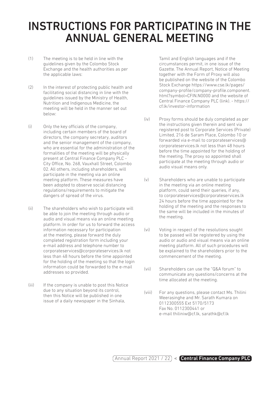## INSTRUCTIONS FOR PARTICIPATING IN THE ANNUAL GENERAL MEETING

- (1) The meeting is to be held in line with the guidelines given by the Colombo Stock Exchange and the health authorities as per the applicable laws:
- (2) In the interest of protecting public health and facilitating social distancing in line with the guidelines issued by the Ministry of Health, Nutrition and Indigenous Medicine, the meeting will be held in the manner set out below:
- (i) Only the key officials of the company, including certain members of the board of directors, the company secretary, auditors and the senior management of the company, who are essential for the administration of the formalities of the meeting will be physically present at Central Finance Company PLC - City Office, No. 268, Vauxhall Street, Colombo 02. All others, including shareholders, will participate in the meeting via an online meeting platform. These measures have been adopted to observe social distancing regulations/requirements to mitigate the dangers of spread of the virus.
- (ii) The shareholders who wish to participate will be able to join the meeting through audio or audio and visual means via an online meeting platform. In order for us to forward the access information necessary for participation at the meeting, please forward the duly completed registration form including your e-mail address and telephone number to corporateservices@corporateservices.lk not less than 48 hours before the time appointed for the holding of the meeting so that the login information could be forwarded to the e-mail addresses so provided.
- (iii) If the company is unable to post this Notice due to any situation beyond its control, then this Notice will be published in one issue of a daily newspaper in the Sinhala,

Tamil and English languages and if the circumstances permit, in one issue of the Gazette. The Annual Report, Notice of Meeting together with the Form of Proxy will also be published on the website of the Colombo Stock Exchange https://www.cse.lk/pages/ company-profile/company-profile.component. html?symbol=CFIN.N0000 and the website of Central Finance Company PLC (link). - https:// cf.lk/investor-information

- (iv) Proxy forms should be duly completed as per the instructions given therein and sent via registered post to Corporate Services (Private) Limited, 216 de Saram Place, Colombo 10 or forwarded via e-mail to corporateservices@ corporateservices.lk not less than 48 hours before the time appointed for the holding of the meeting. The proxy so appointed shall participate at the meeting through audio or audio visual means only.
- (v) Shareholders who are unable to participate in the meeting via an online meeting platform, could send their queries, if any, to corporateservices@corporateservices.lk 24 hours before the time appointed for the holding of the meeting and the responses to the same will be included in the minutes of the meeting.
- (vi) Voting in respect of the resolutions sought to be passed will be registered by using the audio or audio and visual means via an online meeting platform. All of such procedures will be explained to the shareholders prior to the commencement of the meeting.
- (vii) Shareholders can use the "Q&A forum" to communicate any questions/concerns at the time allocated at the meeting.
- (viii) For any questions, please contact Ms. Thilini Weerasinghe and Mr. Sarath Kumara on 0112300555 Ext 5170/5173 Fax No. 0112300441 or e-mail thiliniw@cf.lk, sarathk@cf.lk

 $\overline{A}$ nnual Report 2021 / 22  $\overline{C}$  Central Finance Company PLC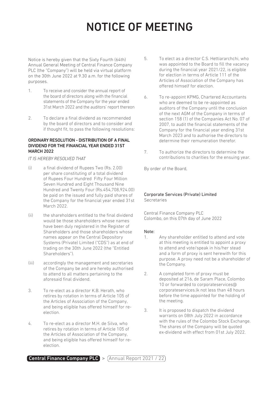# NOTICE OF MEETING

Notice is hereby given that the Sixty Fourth (64th) Annual General Meeting of Central Finance Company PLC (the "Company") will be held via virtual platform on the 30th June 2022 at 9.30 a.m. for the following purposes.

- 1. To receive and consider the annual report of the board of directors along with the financial statements of the Company for the year ended 31st March 2022 and the auditors' report thereon
- 2. To declare a final dividend as recommended by the board of directors and to consider and if thought fit, to pass the following resolutions:

#### ORDINARY RESOLUTION - DISTRIBUTION OF A FINAL DIVIDEND FOR THE FINANCIAL YEAR ENDED 31ST MARCH 2022

#### *IT IS HEREBY RESOLVED THAT*

- (i) a final dividend of Rupees Two (Rs. 2.00) per share constituting of a total dividend of Rupees Four Hundred Fifty Four Million Seven Hundred and Eight Thousand Nine Hundred and Twenty Four (Rs.454,708,924.00) be paid on the issued and fully paid shares of the Company for the financial year ended 31st March 2022.
- (ii) the shareholders entitled to the final dividend would be those shareholders whose names have been duly registered in the Register of Shareholders and those shareholders whose names appear on the Central Depository Systems (Private) Limited ("CDS") as at end of trading on the 30th June 2022 (the "Entitled Shareholders").
- (iii) accordingly the management and secretaries of the Company be and are hereby authorised to attend to all matters pertaining to the aforesaid final dividend.
- 3. To re-elect as a director K.B. Herath, who retires by rotation in terms of Article 105 of the Articles of Association of the Company, and being eligible has offered himself for reelection.
- 4. To re-elect as a director M.H. de Silva, who retires by rotation in terms of Article 105 of the Articles of Association of the Company, and being eligible has offered himself for reelection.
- 5. To elect as a director C.S. Hettiararchchi, who was appointed to the Board to fill the vacancy during the financial year 2021/22, is eligible for election in terms of Article 111 of the Articles of Association of the Company has offered himself for election.
- 6. To re-appoint KPMG, Chartered Accountants who are deemed to be re-appointed as auditors of the Company until the conclusion of the next AGM of the Company in terms of section 158 (1) of the Companies Act No. 07 of 2007, to audit the financial statements of the Company for the financial year ending 31st March 2023 and to authorise the directors to determine their remuneration therefor.
- 7. To authorize the directors to determine the contributions to charities for the ensuing year.

By order of the Board,

#### Corporate Services (Private) Limited Secretaries

Central Finance Company PLC Colombo, on this 07th day of June 2022

#### Note:

- 1. Any shareholder entitled to attend and vote at this meeting is entitled to appoint a proxy to attend and vote/speak in his/her stead and a form of proxy is sent herewith for this purpose. A proxy need not be a shareholder of the Company.
- 2. A completed form of proxy must be deposited at 216, de Saram Place, Colombo 10 or forwarded to corporateservices@ corporateservices.lk not less than 48 hours before the time appointed for the holding of the meeting.
- 3. It is proposed to dispatch the dividend warrants on 08th July 2022 in accordance with the rules of the Colombo Stock Exchange. The shares of the Company will be quoted ex-dividend with effect from 01st July 2022.

 $\boxed{\text{Central Finance Company PLC}}$  >  $\boxed{\text{Annual Report 2021 / 22}}$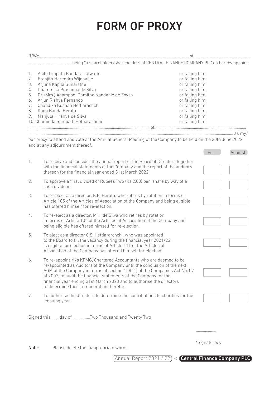# FORM OF PROXY

| *I/We……………………………               |                                                                                                                                                                                                                      |                 |              |         |
|--------------------------------|----------------------------------------------------------------------------------------------------------------------------------------------------------------------------------------------------------------------|-----------------|--------------|---------|
|                                |                                                                                                                                                                                                                      |                 |              |         |
|                                |                                                                                                                                                                                                                      |                 |              |         |
| 1.                             | Asite Drupath Bandara Talwatte                                                                                                                                                                                       | or failing him, |              |         |
| 2.                             | Eranjith Harendra Wijenaike                                                                                                                                                                                          | or failing him, |              |         |
| 3.                             | Arjuna Kapila Gunaratne                                                                                                                                                                                              | or failing him, |              |         |
| 4.                             | Dhammika Prasanna de Silva<br>or failing him.                                                                                                                                                                        |                 |              |         |
| 5.                             | Dr. (Mrs.) Agampodi Damitha Nandanie de Zoysa<br>or failing her,                                                                                                                                                     |                 |              |         |
| 6.                             | Arjun Rishya Fernando<br>or failing him,                                                                                                                                                                             |                 |              |         |
| 7.                             | Chandika Kushan Hettiarachchi<br>or failing him,<br>Kuda Banda Herath<br>or failing him,                                                                                                                             |                 |              |         |
| 8.                             |                                                                                                                                                                                                                      |                 |              |         |
| 9.<br>Manjula Hiranya de Silva |                                                                                                                                                                                                                      | or failing him, |              |         |
|                                | 10. Chaminda Sampath Hettiarachchi                                                                                                                                                                                   | or failing him, |              |         |
|                                |                                                                                                                                                                                                                      |                 |              |         |
|                                |                                                                                                                                                                                                                      |                 |              |         |
|                                | our proxy to attend and vote at the Annual General Meeting of the Company to be held on the 30th June 2022                                                                                                           |                 |              |         |
|                                | and at any adjournment thereof.                                                                                                                                                                                      |                 |              |         |
|                                |                                                                                                                                                                                                                      |                 | For          | Against |
|                                |                                                                                                                                                                                                                      |                 |              |         |
| 1.                             | To receive and consider the annual report of the Board of Directors together<br>with the financial statements of the Company and the report of the auditors<br>thereon for the financial year ended 31st March 2022. |                 |              |         |
|                                |                                                                                                                                                                                                                      |                 |              |         |
|                                |                                                                                                                                                                                                                      |                 |              |         |
|                                |                                                                                                                                                                                                                      |                 |              |         |
| 2.                             | To approve a final divided of Rupees Two (Rs.2.00) per share by way of a<br>cash dividend                                                                                                                            |                 |              |         |
|                                |                                                                                                                                                                                                                      |                 |              |         |
| 3.                             | To re-elect as a director, K.B. Herath, who retires by rotation in terms of                                                                                                                                          |                 |              |         |
|                                | Article 105 of the Articles of Association of the Company and being eligible                                                                                                                                         |                 |              |         |
|                                | has offered himself for re-election.                                                                                                                                                                                 |                 |              |         |
|                                |                                                                                                                                                                                                                      |                 |              |         |
| 4.                             | To re-elect as a director, M.H. de Silva who retires by rotation                                                                                                                                                     |                 |              |         |
|                                | in terms of Article 105 of the Articles of Association of the Company and                                                                                                                                            |                 |              |         |
|                                | being eligible has offered himself for re-election.                                                                                                                                                                  |                 |              |         |
| 5.                             | To elect as a director C.S. Hettiararchchi, who was appointed                                                                                                                                                        |                 |              |         |
|                                | to the Board to fill the vacancy during the financial year 2021/22,                                                                                                                                                  |                 |              |         |
|                                | is eligible for election in terms of Article 111 of the Articles of                                                                                                                                                  |                 |              |         |
|                                | Association of the Company has offered himself for election.                                                                                                                                                         |                 |              |         |
|                                |                                                                                                                                                                                                                      |                 |              |         |
| 6.                             | To re-appoint M/s KPMG, Chartered Accountants who are deemed to be                                                                                                                                                   |                 |              |         |
|                                | re-appointed as Auditors of the Company until the conclusion of the next                                                                                                                                             |                 |              |         |
|                                | AGM of the Company in terms of section 158 (1) of the Companies Act No. 07                                                                                                                                           |                 |              |         |
|                                | of 2007, to audit the financial statements of the Company for the                                                                                                                                                    |                 |              |         |
|                                | financial year ending 31st March 2023 and to authorise the directors                                                                                                                                                 |                 |              |         |
|                                | to determine their remuneration therefor.                                                                                                                                                                            |                 |              |         |
| 7.                             | To authorise the directors to determine the contributions to charities for the                                                                                                                                       |                 |              |         |
|                                | ensuing year.                                                                                                                                                                                                        |                 |              |         |
|                                |                                                                                                                                                                                                                      |                 |              |         |
|                                |                                                                                                                                                                                                                      |                 |              |         |
|                                | Signed thisday ofTwo Thousand and Twenty Two                                                                                                                                                                         |                 |              |         |
|                                |                                                                                                                                                                                                                      |                 |              |         |
|                                |                                                                                                                                                                                                                      |                 | .            |         |
|                                |                                                                                                                                                                                                                      |                 |              |         |
|                                |                                                                                                                                                                                                                      |                 |              |         |
|                                |                                                                                                                                                                                                                      |                 | *Signature/s |         |
| Note:                          | Please delete the inappropriate words.                                                                                                                                                                               |                 |              |         |
|                                | Annual Report 2021 / 22) < Central Finance Company PLC                                                                                                                                                               |                 |              |         |
|                                |                                                                                                                                                                                                                      |                 |              |         |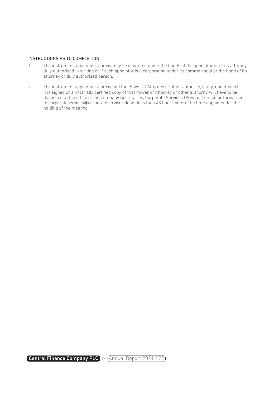#### INSTRUCTIONS AS TO COMPLETION

- 1. The instrument appointing a proxy may be in writing under the hands of the appointor or of its attorney duly authorised in writing or if such appointor is a corporation under its common seal or the hand of its attorney or duly authorised person.
- 2. The instrument appointing a proxy and the Power of Attorney or other authority, if any, under which it is signed or a notarially certified copy of that Power of Attorney or other authority will have to be deposited at the office of the Company Secretaries, Corporate Services (Private) Limited or forwarded to corporateservices@corporateservices.lk not less than 48 hours before the time appointed for the holding of the meeting.

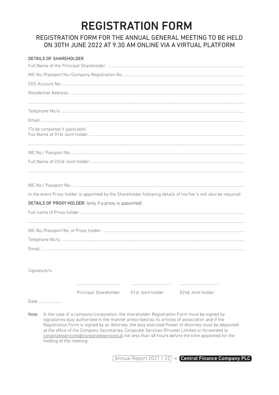## **REGISTRATION FORM**

### REGISTRATION FORM FOR THE ANNUAL GENERAL MEETING TO BE HELD ON 30TH JUNE 2022 AT 9.30 AM ONLINE VIA A VIRTUAL PLATFORM

|             | <b>DETAILS OF SHAREHOLDER</b>                                                                                                                                                                                                                                                                                                                                                                                                                                                                                                    |  |
|-------------|----------------------------------------------------------------------------------------------------------------------------------------------------------------------------------------------------------------------------------------------------------------------------------------------------------------------------------------------------------------------------------------------------------------------------------------------------------------------------------------------------------------------------------|--|
|             |                                                                                                                                                                                                                                                                                                                                                                                                                                                                                                                                  |  |
|             |                                                                                                                                                                                                                                                                                                                                                                                                                                                                                                                                  |  |
|             |                                                                                                                                                                                                                                                                                                                                                                                                                                                                                                                                  |  |
|             |                                                                                                                                                                                                                                                                                                                                                                                                                                                                                                                                  |  |
|             |                                                                                                                                                                                                                                                                                                                                                                                                                                                                                                                                  |  |
|             |                                                                                                                                                                                                                                                                                                                                                                                                                                                                                                                                  |  |
|             |                                                                                                                                                                                                                                                                                                                                                                                                                                                                                                                                  |  |
|             | (To be completed if applicable)                                                                                                                                                                                                                                                                                                                                                                                                                                                                                                  |  |
|             |                                                                                                                                                                                                                                                                                                                                                                                                                                                                                                                                  |  |
|             |                                                                                                                                                                                                                                                                                                                                                                                                                                                                                                                                  |  |
|             |                                                                                                                                                                                                                                                                                                                                                                                                                                                                                                                                  |  |
|             |                                                                                                                                                                                                                                                                                                                                                                                                                                                                                                                                  |  |
|             | In the event Proxy holder is appointed by the Shareholder following details of his/her's will also be required.                                                                                                                                                                                                                                                                                                                                                                                                                  |  |
|             | <b>DETAILS OF PROXY HOLDER:</b> (only if a proxy is appointed)                                                                                                                                                                                                                                                                                                                                                                                                                                                                   |  |
|             |                                                                                                                                                                                                                                                                                                                                                                                                                                                                                                                                  |  |
|             |                                                                                                                                                                                                                                                                                                                                                                                                                                                                                                                                  |  |
|             |                                                                                                                                                                                                                                                                                                                                                                                                                                                                                                                                  |  |
|             |                                                                                                                                                                                                                                                                                                                                                                                                                                                                                                                                  |  |
|             |                                                                                                                                                                                                                                                                                                                                                                                                                                                                                                                                  |  |
|             |                                                                                                                                                                                                                                                                                                                                                                                                                                                                                                                                  |  |
| Signature/s |                                                                                                                                                                                                                                                                                                                                                                                                                                                                                                                                  |  |
|             | <br>Principal Shareholder<br>01st Joint holder<br>02nd Joint holder                                                                                                                                                                                                                                                                                                                                                                                                                                                              |  |
|             | Date:                                                                                                                                                                                                                                                                                                                                                                                                                                                                                                                            |  |
| Note:       | In the case of a company/corporation, the shareholder Registration Form must be signed by<br>signatories duly authorised in the manner prescribed by its articles of association and if the<br>Registration Form is signed by an Attorney, the duly executed Power of Attorney must be deposited<br>at the office of the Company Secretaries, Corporate Services (Private) Limited or forwarded to<br>corporateservices@corporateservices. Ik not less than 48 hours before the time appointed for the<br>holding of the meeting |  |

(Annual Report 2021 / 22) < Central Finance Company PLC